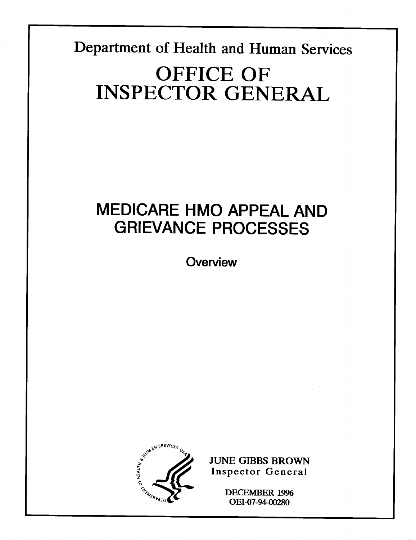**Department of Health and Human Services** 

# **OFFICE OF INSPECTOR GENERAL**

## MEDICARE HMO APPEAL AND GRIEVANCE PROCESSES

**Overview** 



**JUNE GIBBS BROWN Inspector General** 

> **DECEMBER 1996** OEI-07-94-00280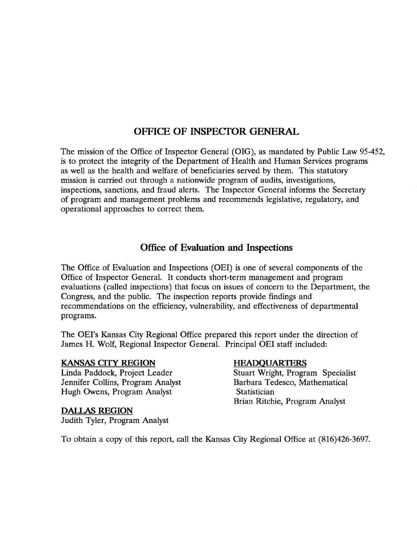#### OFFICE OF INSPECTOR GENERAL

The mission of the Office of Inspector General (OIG), as mandated by Public Law 95-452, is to protect the integrity of the Department of Health and Human Services program as well as the health and welfare of beneficiaries served by them. This statutor mission is carried out through a nationwide program of audits, investigation inspections, sanctions, and fraud alerts. The Inspector General informs the Secretar of program and management problems and recommends legislative, regulatory, and operational approaches to correct them.

#### Office of Evaluation and Inspections

The Office of Evaluation and Inspections (OEI) is one of several components of the Office of Inspector General. It conducts short-term management and program evaluations (called inspections) that focus on issues of concern to the Department, the Congress, and the public. The inspection reports provide findings and recommendations on the efficiency, vulnerability, and effectiveness of department program:

The OEI'S Kansas City Regional Office prepared this report under the direction of James H. Wolf, Regional Inspector General. Principal OEI staff included:

#### KANSAS CITY REGION

Linda Paddock, Project Leader Stuart Wright, Program Specialis Jennifer Collins, Program Analyst Hugh Owens, Program Analyst Statistician

#### DALLAS REGION

Judith Tyler, Program Analyst

#### **HEADQUARTERS**

Barbara Tedesco, Mathematical Brian Ritchie, Program Analyst

To obtain a copy of this report, call the Kansas City Regional Office at (816)426-3697.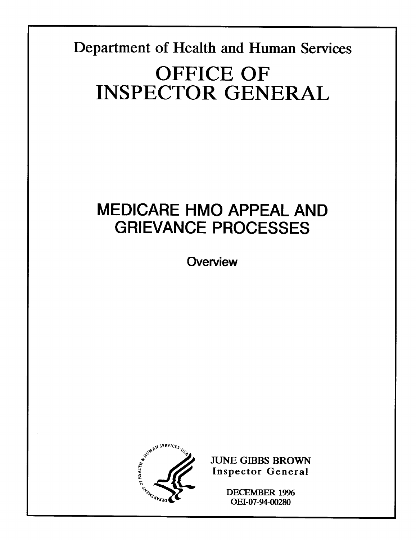Department of Health and Human Services

# **OFFICE OF INSPECTOR GENERAL**

## **MEDICARE HMO APPEAL AND GRIEVANCE PROCESSES**

Overview



**JUNE GIBBS BROWN Inspector General** 

> **DECEMBER 1996** OEI-07-94-00280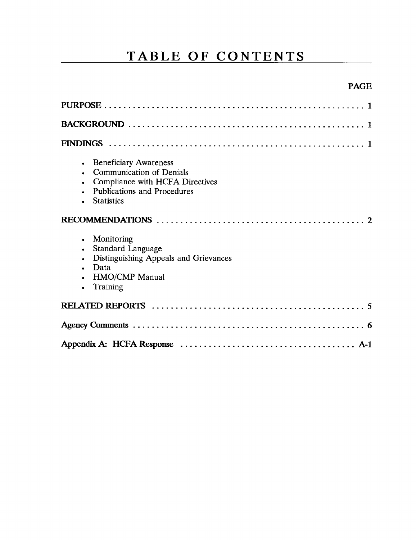### **TABLE OF CONTENTS**

#### PAGE

| <b>Beneficiary Awareness</b><br><b>Communication of Denials</b><br>Compliance with HCFA Directives<br><b>Publications and Procedures</b><br><b>Statistics</b> |
|---------------------------------------------------------------------------------------------------------------------------------------------------------------|
|                                                                                                                                                               |
| Monitoring<br><b>Standard Language</b><br>Distinguishing Appeals and Grievances<br>Data<br><b>HMO/CMP</b> Manual<br>Training                                  |
|                                                                                                                                                               |
|                                                                                                                                                               |
|                                                                                                                                                               |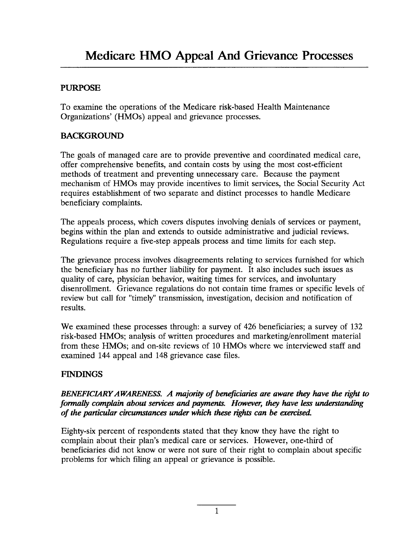#### PURPOSE

To examine the operations of the Medicare risk-based Health Maintenance Organizations' (HMOS) appeal and grievance processes.

#### BACKGROUND

The goals of managed care are to provide preventive and coordinated medical care, offer comprehensive benefits, and contain costs by using the most cost-efficient methods of treatment and preventing unnecessary care. Because the payment mechanism of HMOS may provide incentives to limit services, the Social Security Act requires establishment of two separate and distinct processes to handle Medicare beneficiary complaints.

The appeals process, which covers disputes involving denials of services or payment, begins within the plan and extends to outside administrative and judicial reviews. Regulations require a five-step appeals process and time limits for each step.

The grievance process involves disagreements relating to services furnished for which the beneficiary has no further liability for payment. It also includes such issues as quality of care, physician behavior, waiting times for services, and involuntary disenrollment. Grievance regulations do not contain time frames or specific levels of review but call for "timely" transmission, investigation, decision and notification of results.

We examined these processes through: a survey of 426 beneficiaries; a survey of 132 risk-based HMOS; analysis of written procedures and marketing/enrollment material from these HMOS; and on-site reviews of 10 HMOS where we interviewed staff and examined 144 appeal and 148 grievance case files.

#### FINDINGS

#### BENEFICIARY AWARENESS. A majority of beneficiaries are aware they have the right to *formally complain about services and payments. However, they have less understanding of the particular circumstances under which these rights can be exercised.*

Eighty-six percent of respondents stated that they know they have the right to complain about their plan's medical care or services. However, one-third of beneficiaries did not know or were not sure of their right to complain about specific problems for which filing an appeal or grievance is possible.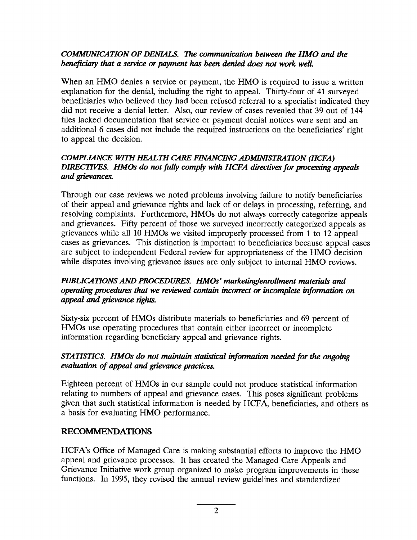#### *COM'UUNKATION OF DENL4LS. The* CO*mmunication between the HMO and the beneficiary that a service or payment has been denied does not work well.*

When an HMO denies a service or payment, the HMO is required to issue a written explanation for the denial, including the right to appeal. Thirty-four of 41 surveyed beneficiaries who believed they had been refused referral to a specialist indicated they did not receive a denial letter. Also, our review of cases revealed that 39 out of 144 files lacked documentation that service or payment denial notices were sent and an additional 6 cases did not include the required instructions on the beneficiaries' right to appeal the decision.

#### *COMPLL4NCE WITH HEALTH CARE FIN4NCING ADMNI.STRATION (HCFA)*  DIRECTIVES. HMOs do not fully comply with HCFA directives for processing appeals *and grievances.*

Through our case reviews we noted problems involving failure to notify beneficiaries of their appeal and grievance rights and lack of or delays in processing, referring, and resolving complaints. Furthermore, HMOS do not always correctly categorize appeals and grievances. Fifty percent of those we surveyed incorrectly categorized appeals as grievances while all 10 HMOS we visited improperly processed from 1 to 12 appeal cases as grievances. This distinction is important to beneficiaries because appeal cases are subject to independent Federal review for appropriateness of the HMO decision while disputes involving grievance issues are only subject to internal HMO reviews.

#### PUBLICATIONS AND PROCEDURES. HMOs' marketing/enrollment materials and *operating procedures that we reviewed contain incorrect or incomplete information on appeal and grievance rights.*

Sixty-six percent of HMOS distribute materials to beneficiaries and 69 percent of HMOS use operating procedures that contain either incorrect or incomplete information regarding beneficiary appeal and grievance rights.

#### *STATISTICS. HMOs do not maintain statistical information needed for the ongoing*  $e$ valuation of appeal and grievance practices.

Eighteen percent of HMOS in our sample could not produce statistical information relating to numbers of appeal and grievance cases. This poses significant problems given that such statistical information is needed by HCFA, beneficiaries, and others as a basis for evaluating HMO performance.

#### RECOMMENDATIONS

HCFA'S Office of Managed Care is making substantial efforts to improve the HMO appeal and grievance processes. It has created the Managed Care Appeals and Grievance Initiative work group organized to make program improvements in these functions. In 1995, they revised the annual review guidelines and standardized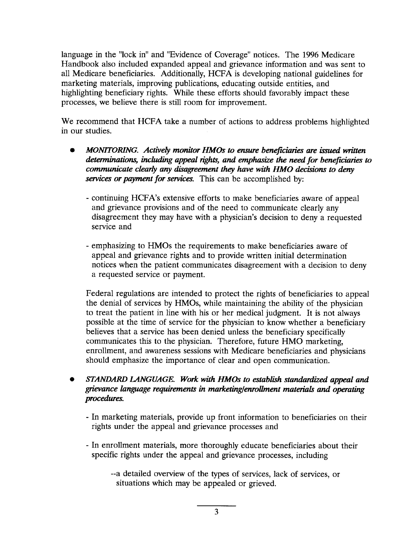language in the "lock in" and "Evidence of Coverage" notices. The 1996 Medicare Handbook also included expanded appeal and grievance information and was sent to all Medicare beneficiaries. Additionally, HCFA is developing national guidelines for marketing materials, improving publications, educating outside entities, and highlighting beneficiary rights. While these efforts should favorably impact these processes, we believe there is still room for improvement.

We recommend that HCFA take a number of actions to address problems highlighted in our studies.

- *MONITORING. Actively monitor HMOs to ensure beneficiaries are issued written* determinations, including appeal rights, and emphasize the need for beneficiaries to *communicate clearly any disagreement they have with HMO decisions to deny services or payment for services.* This can be accomplished by:
	- continuing HCFA'S extensive efforts to make beneficiaries aware of appeal and grievance provisions and of the need to communicate clearly any disagreement they may have with a physician's decision to deny a requested service and
	- emphasizing to HMOS the requirements to make beneficiaries aware of appeal and grievance rights and to provide written initial determination notices when the patient communicates disagreement with a decision to deny a requested service or payment.

Federal regulations are intended to protect the rights of beneficiaries to appeal the denial of services by HMOS, while maintaining the ability of the physician to treat the patient in line with his or her medical judgment. It is not always possible at the time of service for the physician to know whether a beneficiary believes that a service has been denied unless the beneficiary specifically communicates this to the physician. Therefore, future HMO marketing, enrollment, and awareness sessions with Medicare beneficiaries and physicians should emphasize the importance of clear and open communication.

- STANDARD LANGUAGE. Work with HMOs to establish standardized appeal and *grievance language requirements in marketing/enrollment materials and operating procedures.* 
	- In marketing materials, provide up front information to beneficiaries on their rights under the appeal and grievance processes and
	- In enrollment materials, more thoroughly educate beneficiaries about their specific rights under the appeal and grievance processes, including
		- --a detailed overview of the types of services, lack of services, or situations which may be appealed or grieved.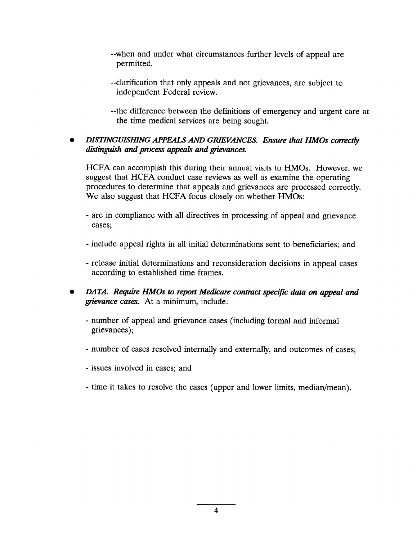- --when and under what circumstances further levels of appeal are permitted.
- --clarification that only appeals and not grievances, are subject to independent Federal review.
- --the difference between the definitions of emergency and urgent care at the time medical services are being sought.

#### **DISTINGUISHING APPEALS AND GRIEVANCES. Ensure that HMOs correctly** distinguish and process appeals and grievances.

HCFA can accomplish this during their annual visits to HMOS. However, we suggest that HCFA conduct case reviews as well as examine the operating procedures to determine that appeals and grievances are processed correctly. We also suggest that HCFA focus closely on whether HMOs:

- are in compliance with all directives in processing of appeal and grievance cases;
- include appeal rights in all initial determinations sent to beneficiaries; and
- release initial determinations and reconsideration decisions in appeal cases according to established time frames.
- DATA. Require HMOs to report Medicare contract specific data on appeal and *grievance cases.* At a minimum, include:
	- number of appeal and grievance cases (including formal and informal grievances);
	- number of cases resolved internally and externally, and outcomes of cases;
	- issues involved in cases; and
	- time it takes to resolve the cases (upper and lower limits, median/mean).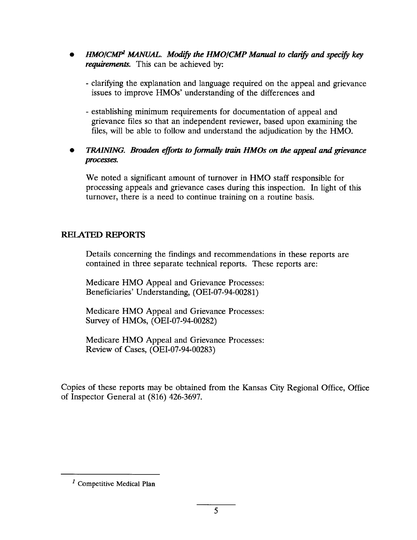- *HMO/CMP<sup>1</sup> MANUAL. Modify the HMO/CMP Manual to clarify and specify key requirements.* This can be achieved by:
	- clarifying the explanation and language required on the appeal and grievance issues to improve HMOS' understanding of the differences and
	- establishing minimum requirements for documentation of appeal and grievance files so that an independent reviewer, based upon examining the files, will be able to follow and understand the adjudication by the HMO.

#### **TRAINING.** Broaden efforts to formally train HMOs on the appeal and grievance *processes.*

We noted a significant amount of turnover in HMO staff responsible for processing appeals and grievance cases during this inspection. In light of this turnover, there is a need to continue training on a routine basis.

#### RELATED REPORTS

Details concerning the findings and recommendations in these reports are contained in three separate technical reports. These reports are:

Medicare HMO Appeal and Grievance Processes: Beneficiaries' Understanding, (OEI-07-94-00281)

Medicare HMO Appeal and Grievance Processes: Survey of HMOS, (OEI-07-94-O0282)

Medicare HMO Appeal and Grievance Processes: Review of Cases, (OEI-07-94-00283)

Copies of these reports may be obtained from the Kansas City Regional Office, Office of Inspector General at (816) 426-3697.

 $<sup>1</sup>$  Competitive Medical Plan</sup>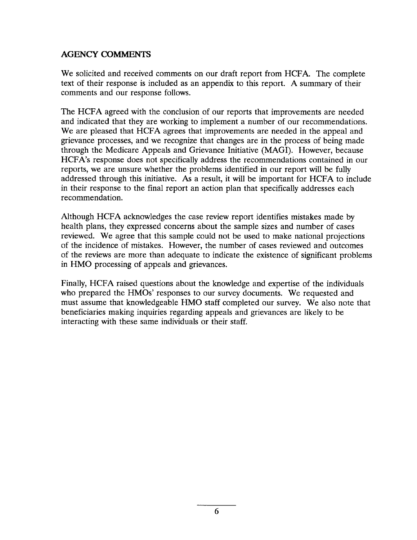#### AGENCY COMMENTS

We solicited and received comments on our draft report from HCFA. The complete text of their response is included as an appendix to this report. A summary of their comments and our response follows.

The HCFA agreed with the conclusion of our reports that improvements are needed and indicated that they are working to implement a number of our recommendations. We are pleased that HCFA agrees that improvements are needed in the appeal and grievance processes, and we recognize that changes are in the process of being made through the Medicare Appeals and Grievance Initiative (MAGI). However, because HCFA'S response does not specifically address the recommendations contained in our reports, we are unsure whether the problems identified in our report will be fully addressed through this initiative. As a result, it will be important for HCFA to include in their response to the final report an action plan that specifically addresses each recommendation.

Although HCFA acknowledges the case review report identifies mistakes made by health plans, they expressed concerns about the sample sizes and number of cases reviewed. We agree that this sample could not be used to make national projections of the incidence of mistakes. However, the number of cases reviewed and outcomes of the reviews are more than adequate to indicate the existence of significant problems in HMO processing of appeals and grievances.

Finally, HCFA raised questions about the knowledge and expertise of the individuals who prepared the HMOS' responses to our survey documents. We requested and must assume that knowledgeable HMO staff completed our survey. We also note that beneficiaries making inquiries regarding appeals and grievances are likely to be interacting with these same individuals or their staff.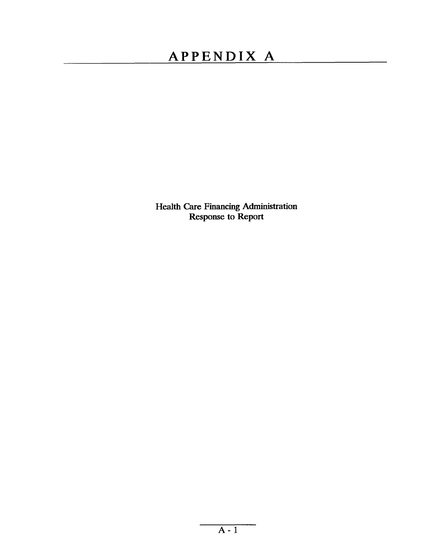### APPENDIX A

Health Care Financing Administration<br>Response to Report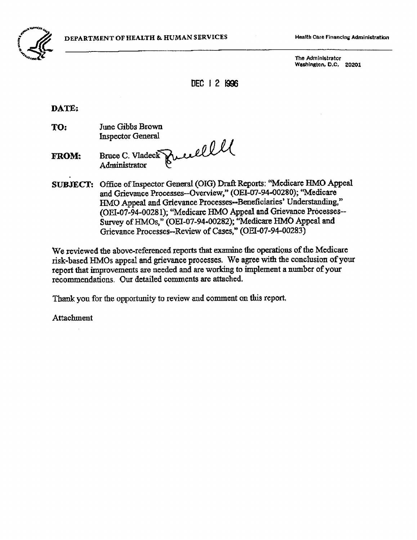

The Administrator Washington, D.C. 20201

DEC | 2 1996

DATE:

June Gibbs Brown TO: **Inspector General** 

Bruce C. Vladeck Prie elle **FROM:** 

SUBJECT: Office of Inspector General (OIG) Draft Reports: "Medicare HMO Appeal and Grievance Processes-Overview," (OEI-07-94-00280); "Medicare HMO Appeal and Grievance Processes--Beneficiaries' Understanding," (OEI-07-94-00281); "Medicare HMO Appeal and Grievance Processes--Survey of HMOs," (OEI-07-94-00282); "Medicare HMO Appeal and Grievance Processes--Review of Cases," (OEI-07-94-00283)

We reviewed the above-referenced reports that examine the operations of the Medicare risk-based HMOs appeal and grievance processes. We agree with the conclusion of your report that improvements are needed and are working to implement a number of your recommendations. Our detailed comments are attached.

Thank you for the opportunity to review and comment on this report.

Attachment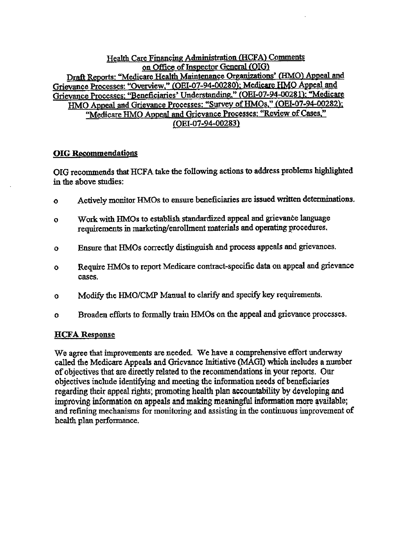Health Care Financing Administration (HCFA) Comments on Office of Inspector General (OIG) Draft Reports: "Medicare Health Maintenance Organizations' (HMO) Appeal and Grievance Processes: "Overview," (OEI-07-94-00280); Medicare HMO Appeal and Grievance Processes: "Beneficiaries' Understanding," (OEI-07-94-00281); "Medicare HMO Appeal and Grievance Processes: "Survey of HMOs," (OEI-07-94-00282); "Medicare HMO Appeal and Grievance Processes: "Review of Cases," (OEI-07-94-00283)

#### **OIG Recommendations**

OIG recommends that HCFA take the following actions to address problems highlighted in the above studies:

- Actively monitor HMOs to ensure beneficiaries are issued written determinations.  $\mathbf{o}$
- Work with HMOs to establish standardized appeal and grievance language  $\mathbf{o}$ requirements in marketing/enrollment materials and operating procedures.
- Ensure that HMOs correctly distinguish and process appeals and grievances.  $\Omega$
- Require HMOs to report Medicare contract-specific data on appeal and grievance  $\mathbf{o}$ cases.
- Modify the HMO/CMP Manual to clarify and specify key requirements.  $\mathbf{o}$
- Broaden efforts to formally train HMOs on the appeal and grievance processes.  $\mathbf{o}$

#### **HCFA Response**

We agree that improvements are needed. We have a comprehensive effort underway called the Medicare Appeals and Grievance Initiative (MAGI) which includes a number of objectives that are directly related to the recommendations in your reports. Our objectives include identifying and meeting the information needs of beneficiaries regarding their appeal rights; promoting health plan accountability by developing and improving information on appeals and making meaningful information more available; and refining mechanisms for monitoring and assisting in the continuous improvement of health plan performance.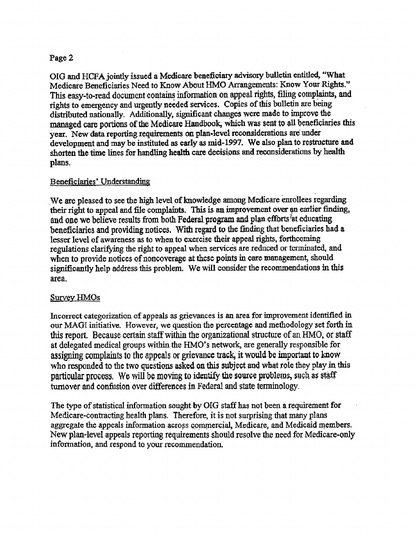#### Page 2

OIG and HCFA jointly issued a Medicare beneficiary advisory bulletin entitled, "What Medicare Beneficiaries Need to Know About HMO Arrangements: Know Your Rights." This easy-to-read document contains information on appeal rights, filing complaints, and rights to emergency and urgently needed services. Copies of this bulletin are being distributed nationally. Additionally, significant changes were made to improve the managed care portions of the Medicare Handbook, which was sent to all beneficiaries this year. New data reporting requirements on plan-level reconsiderations are under development and may be instituted as early as mid-1997. We also plan to restructure and shorten the time lines for handling health care decisions and reconsiderations by health plans.

#### Beneficiaries' Understanding

We are pleased to see the high level of knowledge among Medicare enrollees regarding their right to appeal and file complaints. This is an improvement over an earlier finding, and one we believe results from both Federal program and plan efforts at educating beneficiaries and providing notices. With regard to the finding that beneficiaries had a lesser level of awareness as to when to exercise their appeal rights, forthcoming regulations clarifying the right to appeal when services are reduced or terminated, and when to provide notices of noncoverage at these points in care management, should significantly help address this problem. We will consider the recommendations in this area.

#### **Survey HMOs**

Incorrect categorization of appeals as grievances is an area for improvement identified in our MAGI initiative. However, we question the percentage and methodology set forth in this report. Because certain staff within the organizational structure of an HMO, or staff at delegated medical groups within the HMO's network, are generally responsible for assigning complaints to the appeals or grievance track, it would be important to know who responded to the two questions asked on this subject and what role they play in this particular process. We will be moving to identify the source problems, such as staff turnover and confusion over differences in Federal and state terminology.

The type of statistical information sought by OIG staff has not been a requirement for Medicare-contracting health plans. Therefore, it is not surprising that many plans aggregate the appeals information across commercial, Medicare, and Medicaid members. New plan-level appeals reporting requirements should resolve the need for Medicare-only information, and respond to your recommendation.